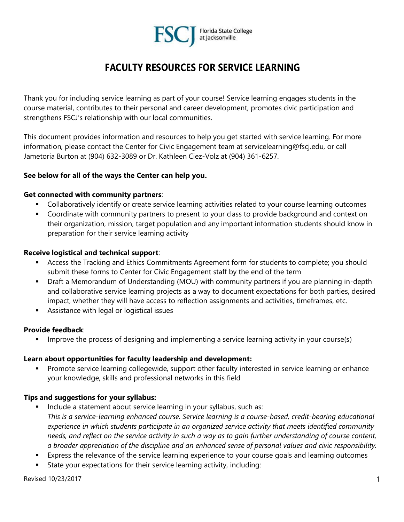

# **FACULTY RESOURCES FOR SERVICE LEARNING**

Thank you for including service learning as part of your course! Service learning engages students in the course material, contributes to their personal and career development, promotes civic participation and strengthens FSCJ's relationship with our local communities.

This document provides information and resources to help you get started with service learning. For more information, please contact the Center for Civic Engagement team at servicelearning@fscj.edu, or call Jametoria Burton at (904) 632-3089 or Dr. Kathleen Ciez-Volz at (904) 361-6257.

## **See below for all of the ways the Center can help you.**

#### **Get connected with community partners**:

- **•** Collaboratively identify or create service learning activities related to your course learning outcomes
- Coordinate with community partners to present to your class to provide background and context on their organization, mission, target population and any important information students should know in preparation for their service learning activity

## **Receive logistical and technical support**:

- **EXEC** Access the Tracking and Ethics Commitments Agreement form for students to complete; you should submit these forms to Center for Civic Engagement staff by the end of the term
- **•** Draft a Memorandum of Understanding (MOU) with community partners if you are planning in-depth and collaborative service learning projects as a way to document expectations for both parties, desired impact, whether they will have access to reflection assignments and activities, timeframes, etc.
- Assistance with legal or logistical issues

## **Provide feedback**:

Improve the process of designing and implementing a service learning activity in your course(s)

## **Learn about opportunities for faculty leadership and development:**

Promote service learning collegewide, support other faculty interested in service learning or enhance your knowledge, skills and professional networks in this field

## **Tips and suggestions for your syllabus:**

- Include a statement about service learning in your syllabus, such as: *This is a service-learning enhanced course. Service learning is a course-based, credit-bearing educational experience in which students participate in an organized service activity that meets identified community needs, and reflect on the service activity in such a way as to gain further understanding of course content, a broader appreciation of the discipline and an enhanced sense of personal values and civic responsibility.*
- **Express the relevance of the service learning experience to your course goals and learning outcomes**
- State your expectations for their service learning activity, including: